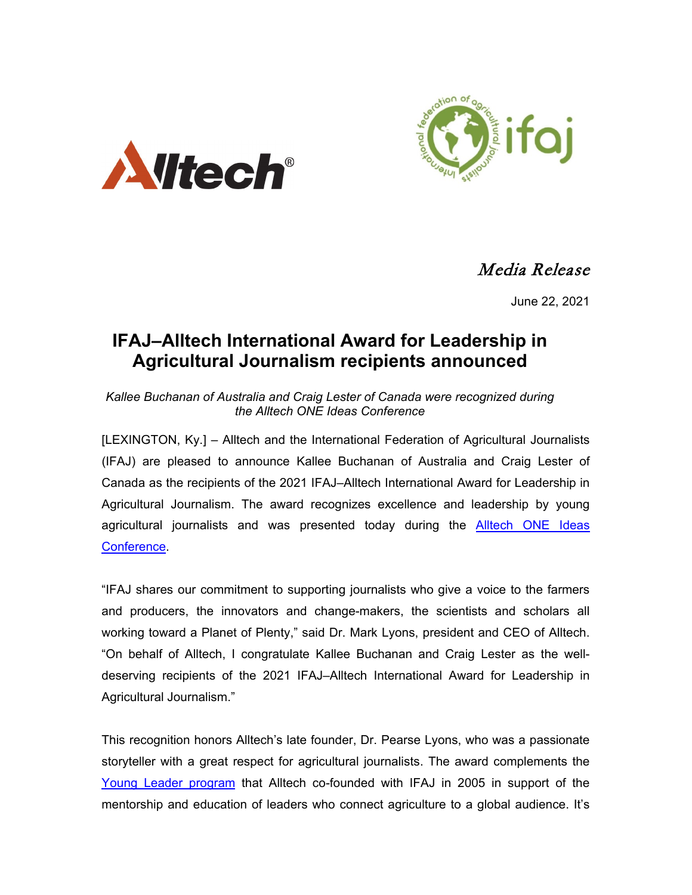



Media Release

June 22, 2021

# **IFAJ–Alltech International Award for Leadership in Agricultural Journalism recipients announced**

*Kallee Buchanan of Australia and Craig Lester of Canada were recognized during the Alltech ONE Ideas Conference* 

[LEXINGTON, Ky.] – Alltech and the International Federation of Agricultural Journalists (IFAJ) are pleased to announce Kallee Buchanan of Australia and Craig Lester of Canada as the recipients of the 2021 IFAJ–Alltech International Award for Leadership in Agricultural Journalism. The award recognizes excellence and leadership by young agricultural journalists and was presented today during the **[Alltech ONE Ideas](https://one.alltech.com/) Conference** 

"IFAJ shares our commitment to supporting journalists who give a voice to the farmers and producers, the innovators and change-makers, the scientists and scholars all working toward a Planet of Plenty," said Dr. Mark Lyons, president and CEO of Alltech. "On behalf of Alltech, I congratulate Kallee Buchanan and Craig Lester as the welldeserving recipients of the 2021 IFAJ–Alltech International Award for Leadership in Agricultural Journalism."

This recognition honors Alltech's late founder, Dr. Pearse Lyons, who was a passionate storyteller with a great respect for agricultural journalists. The award complements the [Young Leader program](https://nam05.safelinks.protection.outlook.com/?url=https%3A%2F%2Fwww.ifaj.org%2Four-programmes%2Fyoung-leaders%2F&data=02%7C01%7Cjnorrie%40Alltech.com%7Cbee763369c944b54c13008d7587d3e09%7Ca4b89f32a57c41e7a69085a9b7ea178b%7C0%7C0%7C637075167246323651&sdata=AVEwwLW5%2B9oEvq%2F%2FcfjgG3ugqaIO80KkrriOFaeEacI%3D&reserved=0) that Alltech co-founded with IFAJ in 2005 in support of the mentorship and education of leaders who connect agriculture to a global audience. It's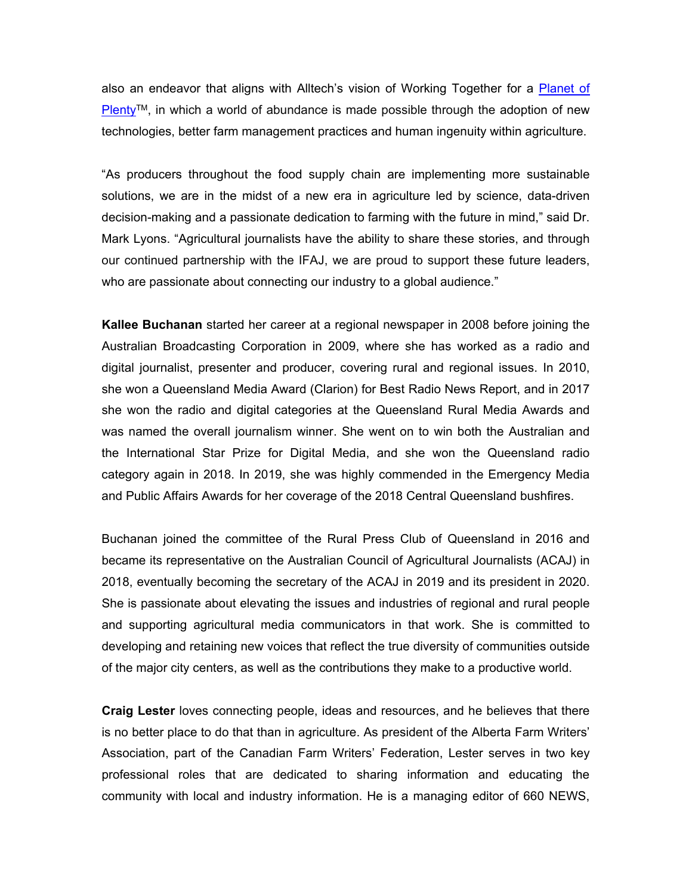also an endeavor that aligns with Alltech's vision of Working Together for a [Planet of](https://nam05.safelinks.protection.outlook.com/?url=https%3A%2F%2Fwww.planetofplenty.com%2Fdiscover%2F&data=02%7C01%7Cjnorrie%40Alltech.com%7Cbee763369c944b54c13008d7587d3e09%7Ca4b89f32a57c41e7a69085a9b7ea178b%7C0%7C0%7C637075167246313656&sdata=3xVQU85CSIZBmq60%2F%2BqTumrGOglRd%2BvoFDGqTxiS1vY%3D&reserved=0)   $P$ lenty<sup>TM</sup>, in which a world of abundance is made possible through the adoption of new technologies, better farm management practices and human ingenuity within agriculture.

"As producers throughout the food supply chain are implementing more sustainable solutions, we are in the midst of a new era in agriculture led by science, data-driven decision-making and a passionate dedication to farming with the future in mind," said Dr. Mark Lyons. "Agricultural journalists have the ability to share these stories, and through our continued partnership with the IFAJ, we are proud to support these future leaders, who are passionate about connecting our industry to a global audience."

**Kallee Buchanan** started her career at a regional newspaper in 2008 before joining the Australian Broadcasting Corporation in 2009, where she has worked as a radio and digital journalist, presenter and producer, covering rural and regional issues. In 2010, she won a Queensland Media Award (Clarion) for Best Radio News Report, and in 2017 she won the radio and digital categories at the Queensland Rural Media Awards and was named the overall journalism winner. She went on to win both the Australian and the International Star Prize for Digital Media, and she won the Queensland radio category again in 2018. In 2019, she was highly commended in the Emergency Media and Public Affairs Awards for her coverage of the 2018 Central Queensland bushfires.

Buchanan joined the committee of the Rural Press Club of Queensland in 2016 and became its representative on the Australian Council of Agricultural Journalists (ACAJ) in 2018, eventually becoming the secretary of the ACAJ in 2019 and its president in 2020. She is passionate about elevating the issues and industries of regional and rural people and supporting agricultural media communicators in that work. She is committed to developing and retaining new voices that reflect the true diversity of communities outside of the major city centers, as well as the contributions they make to a productive world.

**Craig Lester** loves connecting people, ideas and resources, and he believes that there is no better place to do that than in agriculture. As president of the Alberta Farm Writers' Association, part of the Canadian Farm Writers' Federation, Lester serves in two key professional roles that are dedicated to sharing information and educating the community with local and industry information. He is a managing editor of 660 NEWS,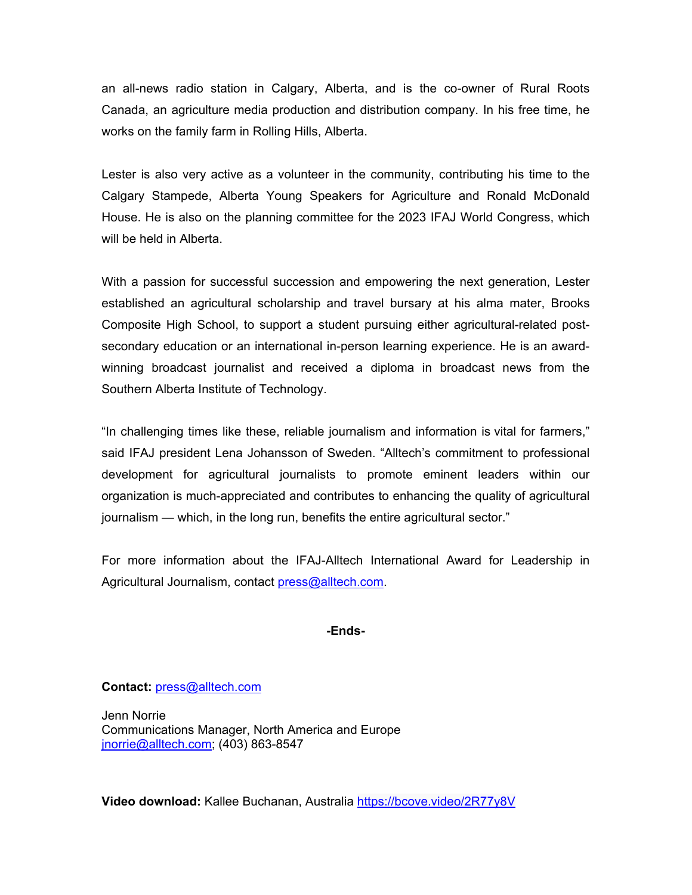an all-news radio station in Calgary, Alberta, and is the co-owner of Rural Roots Canada, an agriculture media production and distribution company. In his free time, he works on the family farm in Rolling Hills, Alberta.

Lester is also very active as a volunteer in the community, contributing his time to the Calgary Stampede, Alberta Young Speakers for Agriculture and Ronald McDonald House. He is also on the planning committee for the 2023 IFAJ World Congress, which will be held in Alberta.

With a passion for successful succession and empowering the next generation, Lester established an agricultural scholarship and travel bursary at his alma mater, Brooks Composite High School, to support a student pursuing either agricultural-related postsecondary education or an international in-person learning experience. He is an awardwinning broadcast journalist and received a diploma in broadcast news from the Southern Alberta Institute of Technology.

"In challenging times like these, reliable journalism and information is vital for farmers," said IFAJ president Lena Johansson of Sweden. "Alltech's commitment to professional development for agricultural journalists to promote eminent leaders within our organization is much-appreciated and contributes to enhancing the quality of agricultural journalism — which, in the long run, benefits the entire agricultural sector."

For more information about the IFAJ-Alltech International Award for Leadership in Agricultural Journalism, contact [press@alltech.com.](mailto:press@alltech.com)

### **-Ends-**

### **Contact:** [press@alltech.com](mailto:press@alltech.com)

Jenn Norrie Communications Manager, North America and Europe [jnorrie@alltech.com;](mailto:jnorrie@alltech.com) (403) 863-8547

**Video download:** Kallee Buchanan, Australia <https://bcove.video/2R77y8V>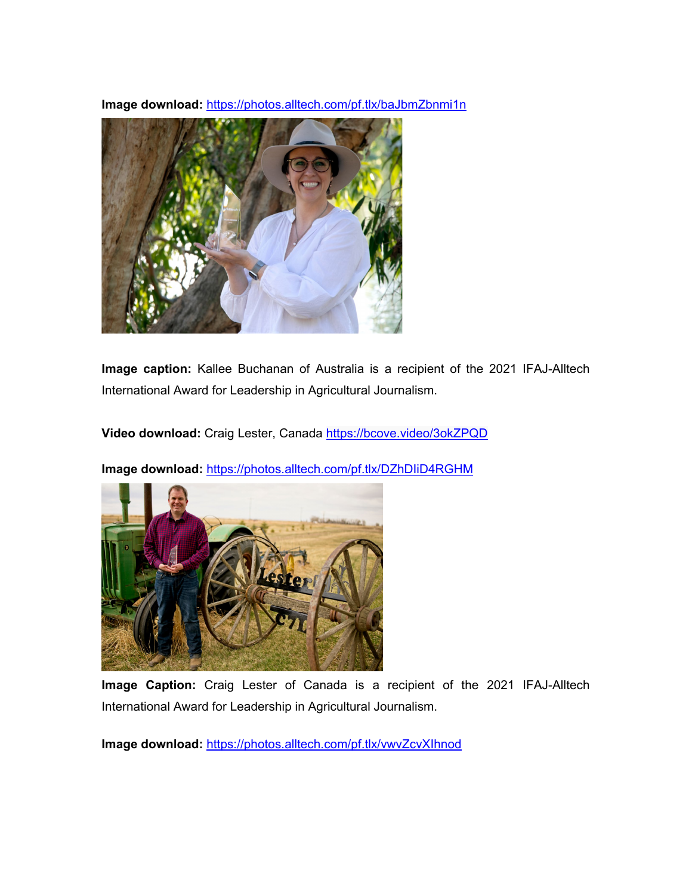**Image download:** <https://photos.alltech.com/pf.tlx/baJbmZbnmi1n>



**Image caption:** Kallee Buchanan of Australia is a recipient of the 2021 IFAJ-Alltech International Award for Leadership in Agricultural Journalism.

**Video download:** Craig Lester, Canada <https://bcove.video/3okZPQD>



**Image download:** <https://photos.alltech.com/pf.tlx/DZhDIiD4RGHM>

**Image Caption:** Craig Lester of Canada is a recipient of the 2021 IFAJ-Alltech International Award for Leadership in Agricultural Journalism.

**Image download:** <https://photos.alltech.com/pf.tlx/vwvZcvXIhnod>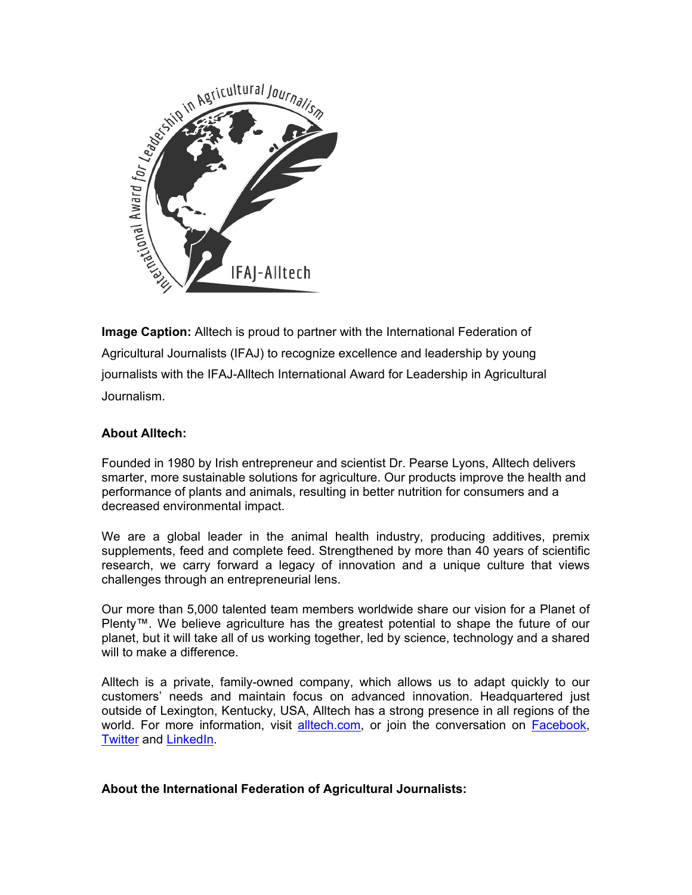

**Image Caption:** Alltech is proud to partner with the International Federation of Agricultural Journalists (IFAJ) to recognize excellence and leadership by young journalists with the IFAJ-Alltech International Award for Leadership in Agricultural Journalism.

## **About Alltech:**

Founded in 1980 by Irish entrepreneur and scientist Dr. Pearse Lyons, Alltech delivers smarter, more sustainable solutions for agriculture. Our products improve the health and performance of plants and animals, resulting in better nutrition for consumers and a decreased environmental impact.

We are a global leader in the animal health industry, producing additives, premix supplements, feed and complete feed. Strengthened by more than 40 years of scientific research, we carry forward a legacy of innovation and a unique culture that views challenges through an entrepreneurial lens.

Our more than 5,000 talented team members worldwide share our vision for a Planet of Plenty™. We believe agriculture has the greatest potential to shape the future of our planet, but it will take all of us working together, led by science, technology and a shared will to make a difference.

Alltech is a private, family-owned company, which allows us to adapt quickly to our customers' needs and maintain focus on advanced innovation. Headquartered just outside of Lexington, Kentucky, USA, Alltech has a strong presence in all regions of the world. For more information, visit [alltech.com,](http://www.alltech.com/) or join the conversation on [Facebook,](https://nam05.safelinks.protection.outlook.com/?url=https%3A%2F%2Fwww.facebook.com%2FAlltechNaturally%2F&data=02%7C01%7Cldozier%40Alltech.com%7Ca95cba17c585442d0e0a08d6f3618013%7Ca4b89f32a57c41e7a69085a9b7ea178b%7C0%7C0%7C636963997418012790&sdata=n7V2e0SYfS%2BHx6wzure9DqmC%2F19V5t7ArormI1hEFtg%3D&reserved=0) [Twitter](https://nam05.safelinks.protection.outlook.com/?url=https%3A%2F%2Ftwitter.com%2Falltech%3Flang%3Den&data=02%7C01%7Cldozier%40Alltech.com%7Ca95cba17c585442d0e0a08d6f3618013%7Ca4b89f32a57c41e7a69085a9b7ea178b%7C0%7C0%7C636963997418012790&sdata=pv8qefjpjf%2B%2BGvf5SUCj42qdxaURekBnioTDyUrm4kU%3D&reserved=0) and [LinkedIn.](https://nam05.safelinks.protection.outlook.com/?url=https%3A%2F%2Fwww.linkedin.com%2Fcompany%2Falltech&data=02%7C01%7Cldozier%40Alltech.com%7Ca95cba17c585442d0e0a08d6f3618013%7Ca4b89f32a57c41e7a69085a9b7ea178b%7C0%7C0%7C636963997418022787&sdata=imeZFfpwrlQG2Q7SvyWHHVtd2TNS5hzV19keSLW0dog%3D&reserved=0)

### **About the International Federation of Agricultural Journalists:**